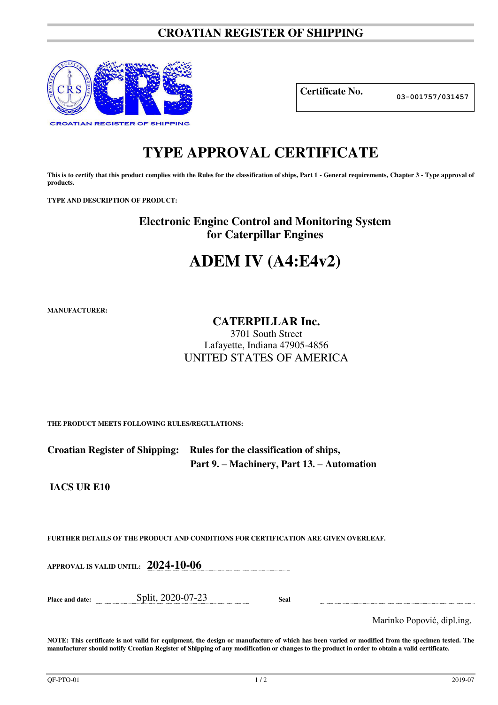## **CROATIAN REGISTER OF SHIPPING**



**Certificate No. 03-001757/031457**

## **TYPE APPROVAL CERTIFICATE**

This is to certify that this product complies with the Rules for the classification of ships, Part 1 - General requirements, Chapter 3 - Type approval of **products.** 

**TYPE AND DESCRIPTION OF PRODUCT:** 

**Electronic Engine Control and Monitoring System for Caterpillar Engines** 

# **ADEM IV (A4:E4v2)**

**MANUFACTURER:**

### **CATERPILLAR Inc.**

3701 South Street Lafayette, Indiana 47905-4856 UNITED STATES OF AMERICA

**THE PRODUCT MEETS FOLLOWING RULES/REGULATIONS:**

| Croatian Register of Shipping: Rules for the classification of ships, |
|-----------------------------------------------------------------------|
| Part 9. – Machinery, Part 13. – Automation                            |

**IACS UR E10** 

**FURTHER DETAILS OF THE PRODUCT AND CONDITIONS FOR CERTIFICATION ARE GIVEN OVERLEAF.**

**APPROVAL IS VALID UNTIL: 2024-10-06**

**Place and date:** Split, 2020-07-23 **Seal** 

Marinko Popović, dipl.ing.

**NOTE: This certificate is not valid for equipment, the design or manufacture of which has been varied or modified from the specimen tested. The manufacturer should notify Croatian Register of Shipping of any modification or changes to the product in order to obtain a valid certificate.**